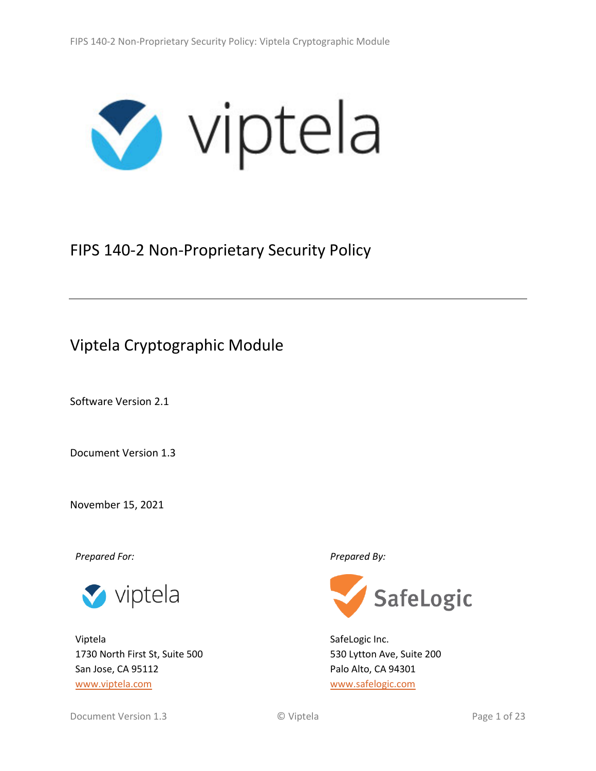

# FIPS 140-2 Non-Proprietary Security Policy

# Viptela Cryptographic Module

Software Version 2.1

Document Version 1.3

November 15, 2021

*Prepared For: Prepared By:*



Viptela 1730 North First St, Suite 500 San Jose, CA 95112 [www.viptela.com](http://www.viptela.com/)



SafeLogic Inc. 530 Lytton Ave, Suite 200 Palo Alto, CA 94301 [www.safelogic.com](http://www.safelogic.com/)

Document Version 1.3 **Document Version 1.3** © Viptela **Page 1 of 23**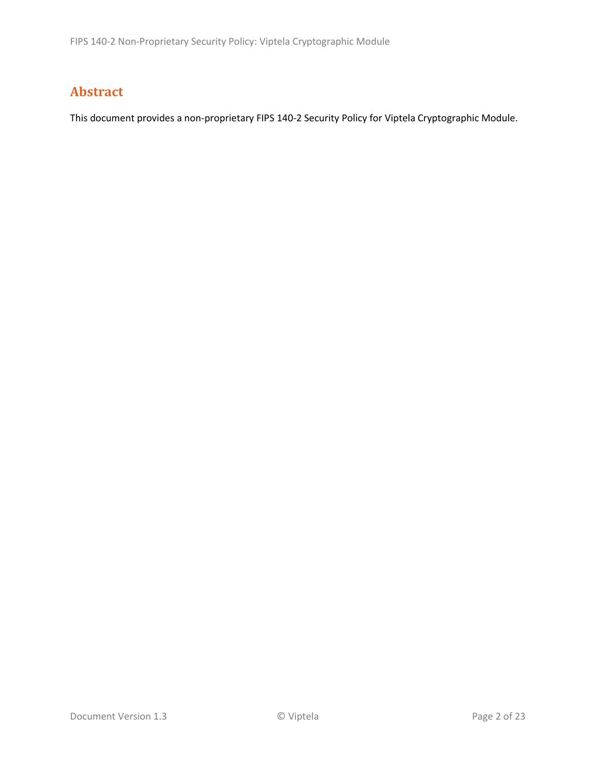# **Abstract**

This document provides a non-proprietary FIPS 140-2 Security Policy for Viptela Cryptographic Module.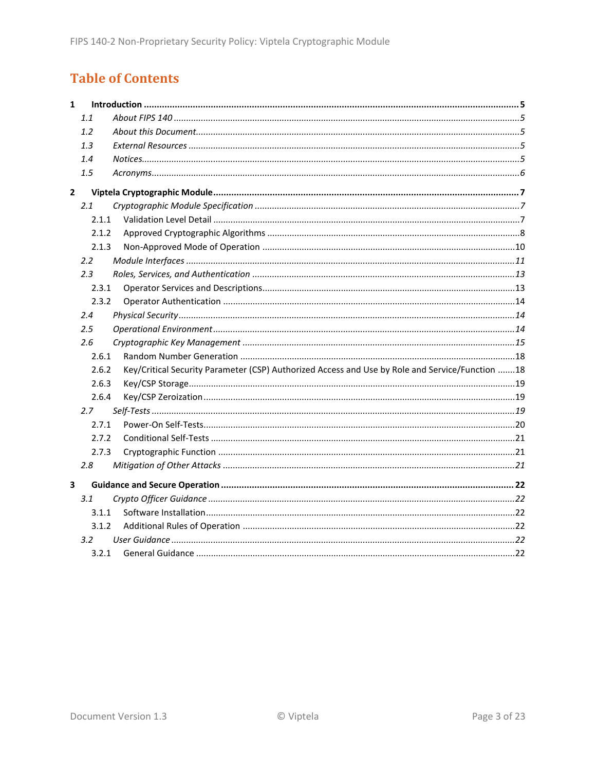# **Table of Contents**

| $\mathbf{1}$ |               |                                                                                                 |  |
|--------------|---------------|-------------------------------------------------------------------------------------------------|--|
|              | 1.1           |                                                                                                 |  |
|              | 1.2           |                                                                                                 |  |
|              | 1.3           |                                                                                                 |  |
|              | 1.4           |                                                                                                 |  |
|              | 1.5           |                                                                                                 |  |
| $\mathbf{2}$ |               |                                                                                                 |  |
|              | 2.1           |                                                                                                 |  |
|              | 2.1.1         |                                                                                                 |  |
|              | 2.1.2         |                                                                                                 |  |
|              | 2.1.3         |                                                                                                 |  |
|              | $2.2^{\circ}$ |                                                                                                 |  |
|              | 2.3           |                                                                                                 |  |
|              | 2.3.1         |                                                                                                 |  |
|              | 2.3.2         |                                                                                                 |  |
|              | 2.4           |                                                                                                 |  |
|              | 2.5           |                                                                                                 |  |
|              | 2.6           |                                                                                                 |  |
|              | 2.6.1         |                                                                                                 |  |
|              | 2.6.2         | Key/Critical Security Parameter (CSP) Authorized Access and Use by Role and Service/Function 18 |  |
|              | 2.6.3         |                                                                                                 |  |
|              | 2.6.4         |                                                                                                 |  |
|              | 2.7           |                                                                                                 |  |
|              | 2.7.1         |                                                                                                 |  |
|              | 2.7.2         |                                                                                                 |  |
|              | 2.7.3         |                                                                                                 |  |
|              | 2.8           |                                                                                                 |  |
| 3            |               |                                                                                                 |  |
|              | 3.1           |                                                                                                 |  |
|              | 3.1.1         |                                                                                                 |  |
|              | 3.1.2         |                                                                                                 |  |
|              | 3.2           |                                                                                                 |  |
|              | 3.2.1         |                                                                                                 |  |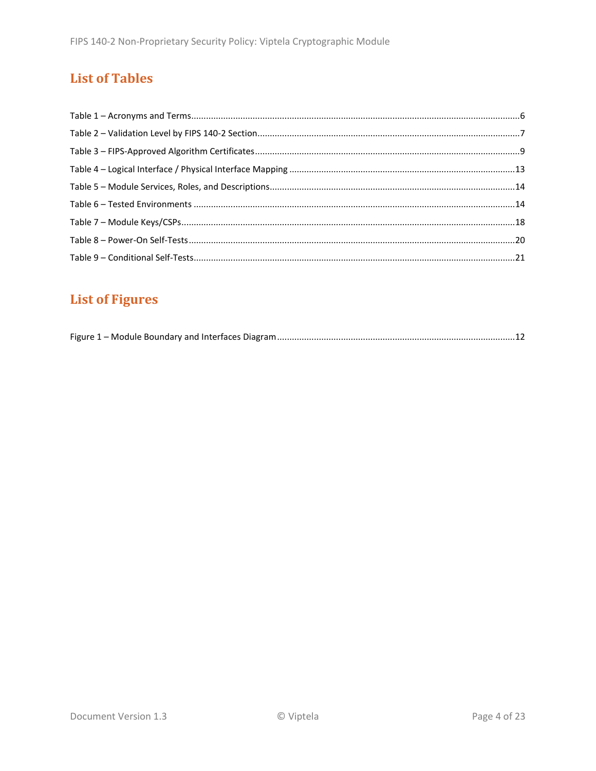# **List of Tables**

# **List of Figures**

|--|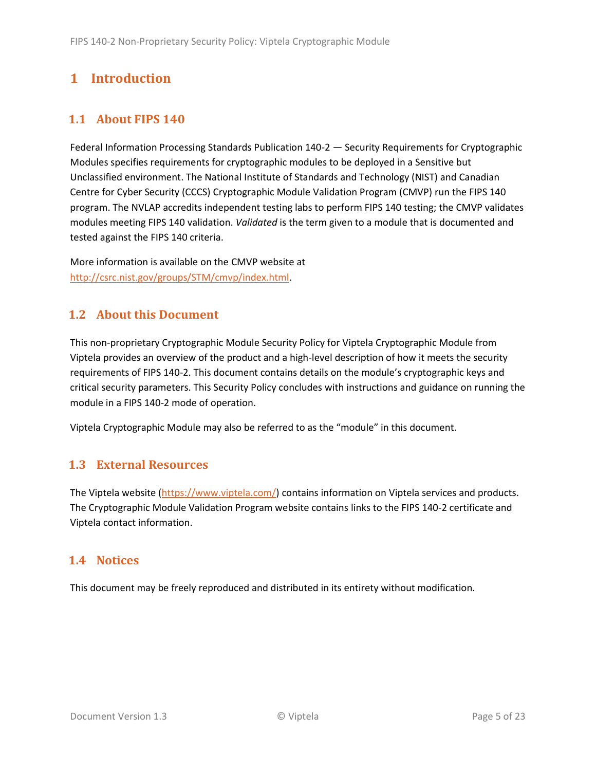# <span id="page-4-0"></span>**1 Introduction**

# <span id="page-4-1"></span>**1.1 About FIPS 140**

Federal Information Processing Standards Publication 140-2 — Security Requirements for Cryptographic Modules specifies requirements for cryptographic modules to be deployed in a Sensitive but Unclassified environment. The National Institute of Standards and Technology (NIST) and Canadian Centre for Cyber Security (CCCS) Cryptographic Module Validation Program (CMVP) run the FIPS 140 program. The NVLAP accredits independent testing labs to perform FIPS 140 testing; the CMVP validates modules meeting FIPS 140 validation. *Validated* is the term given to a module that is documented and tested against the FIPS 140 criteria.

More information is available on the CMVP website at [http://csrc.nist.gov/groups/STM/cmvp/index.html.](http://csrc.nist.gov/groups/STM/cmvp/index.html)

# <span id="page-4-2"></span>**1.2 About this Document**

This non-proprietary Cryptographic Module Security Policy for Viptela Cryptographic Module from Viptela provides an overview of the product and a high-level description of how it meets the security requirements of FIPS 140-2. This document contains details on the module's cryptographic keys and critical security parameters. This Security Policy concludes with instructions and guidance on running the module in a FIPS 140-2 mode of operation.

Viptela Cryptographic Module may also be referred to as the "module" in this document.

# <span id="page-4-3"></span>**1.3 External Resources**

The Viptela website [\(https://www.viptela.com/\)](https://www.viptela.com/) contains information on Viptela services and products. The Cryptographic Module Validation Program website contains links to the FIPS 140-2 certificate and Viptela contact information.

## <span id="page-4-4"></span>**1.4 Notices**

This document may be freely reproduced and distributed in its entirety without modification.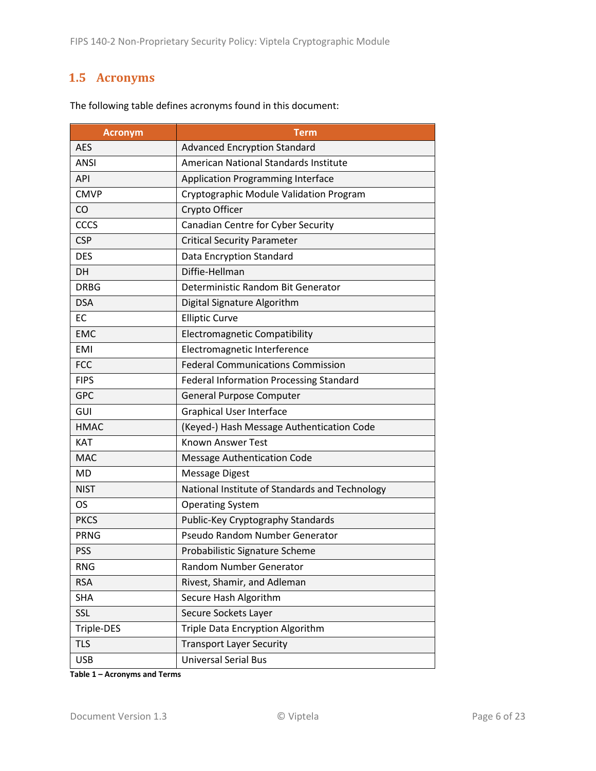## <span id="page-5-0"></span>**1.5 Acronyms**

| <b>Acronym</b> | <b>Term</b>                                    |  |
|----------------|------------------------------------------------|--|
| <b>AES</b>     | <b>Advanced Encryption Standard</b>            |  |
| <b>ANSI</b>    | American National Standards Institute          |  |
| <b>API</b>     | <b>Application Programming Interface</b>       |  |
| <b>CMVP</b>    | Cryptographic Module Validation Program        |  |
| CO             | Crypto Officer                                 |  |
| <b>CCCS</b>    | Canadian Centre for Cyber Security             |  |
| <b>CSP</b>     | <b>Critical Security Parameter</b>             |  |
| <b>DES</b>     | Data Encryption Standard                       |  |
| DH             | Diffie-Hellman                                 |  |
| <b>DRBG</b>    | Deterministic Random Bit Generator             |  |
| <b>DSA</b>     | Digital Signature Algorithm                    |  |
| <b>EC</b>      | <b>Elliptic Curve</b>                          |  |
| <b>EMC</b>     | <b>Electromagnetic Compatibility</b>           |  |
| <b>EMI</b>     | Electromagnetic Interference                   |  |
| <b>FCC</b>     | <b>Federal Communications Commission</b>       |  |
| <b>FIPS</b>    | Federal Information Processing Standard        |  |
| <b>GPC</b>     | General Purpose Computer                       |  |
| GUI            | <b>Graphical User Interface</b>                |  |
| <b>HMAC</b>    | (Keyed-) Hash Message Authentication Code      |  |
| <b>KAT</b>     | <b>Known Answer Test</b>                       |  |
| <b>MAC</b>     | <b>Message Authentication Code</b>             |  |
| <b>MD</b>      | <b>Message Digest</b>                          |  |
| <b>NIST</b>    | National Institute of Standards and Technology |  |
| OS             | <b>Operating System</b>                        |  |
| <b>PKCS</b>    | Public-Key Cryptography Standards              |  |
| <b>PRNG</b>    | Pseudo Random Number Generator                 |  |
| <b>PSS</b>     | Probabilistic Signature Scheme                 |  |
| <b>RNG</b>     | Random Number Generator                        |  |
| <b>RSA</b>     | Rivest, Shamir, and Adleman                    |  |
| <b>SHA</b>     | Secure Hash Algorithm                          |  |
| SSL            | Secure Sockets Layer                           |  |
| Triple-DES     | Triple Data Encryption Algorithm               |  |
| <b>TLS</b>     | <b>Transport Layer Security</b>                |  |
| <b>USB</b>     | <b>Universal Serial Bus</b>                    |  |

The following table defines acronyms found in this document:

**Table 1 – Acronyms and Terms**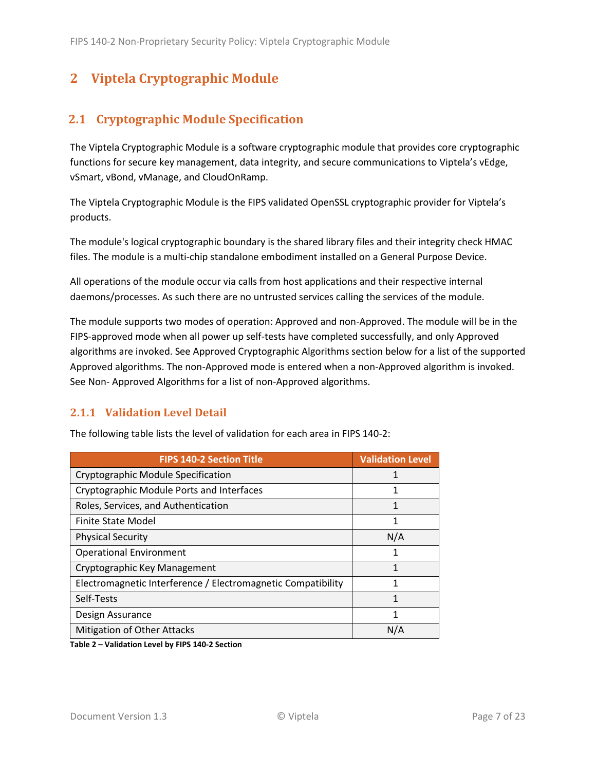# <span id="page-6-0"></span>**2 Viptela Cryptographic Module**

# <span id="page-6-1"></span>**2.1 Cryptographic Module Specification**

The Viptela Cryptographic Module is a software cryptographic module that provides core cryptographic functions for secure key management, data integrity, and secure communications to Viptela's vEdge, vSmart, vBond, vManage, and CloudOnRamp.

The Viptela Cryptographic Module is the FIPS validated OpenSSL cryptographic provider for Viptela's products.

The module's logical cryptographic boundary is the shared library files and their integrity check HMAC files. The module is a multi-chip standalone embodiment installed on a General Purpose Device.

All operations of the module occur via calls from host applications and their respective internal daemons/processes. As such there are no untrusted services calling the services of the module.

The module supports two modes of operation: Approved and non-Approved. The module will be in the FIPS-approved mode when all power up self-tests have completed successfully, and only Approved algorithms are invoked. See Approved Cryptographic Algorithms section below for a list of the supported Approved algorithms. The non-Approved mode is entered when a non-Approved algorithm is invoked. See Non- Approved Algorithms for a list of non-Approved algorithms.

## <span id="page-6-2"></span>**2.1.1 Validation Level Detail**

| <b>FIPS 140-2 Section Title</b>                              | <b>Validation Level</b> |
|--------------------------------------------------------------|-------------------------|
| Cryptographic Module Specification                           |                         |
| Cryptographic Module Ports and Interfaces                    | 1                       |
| Roles, Services, and Authentication                          | 1                       |
| <b>Finite State Model</b>                                    | 1                       |
| <b>Physical Security</b>                                     | N/A                     |
| <b>Operational Environment</b>                               |                         |
| Cryptographic Key Management                                 |                         |
| Electromagnetic Interference / Electromagnetic Compatibility |                         |
| Self-Tests                                                   | 1                       |
| Design Assurance                                             | 1                       |
| <b>Mitigation of Other Attacks</b>                           | N/A                     |

The following table lists the level of validation for each area in FIPS 140-2:

**Table 2 – Validation Level by FIPS 140-2 Section**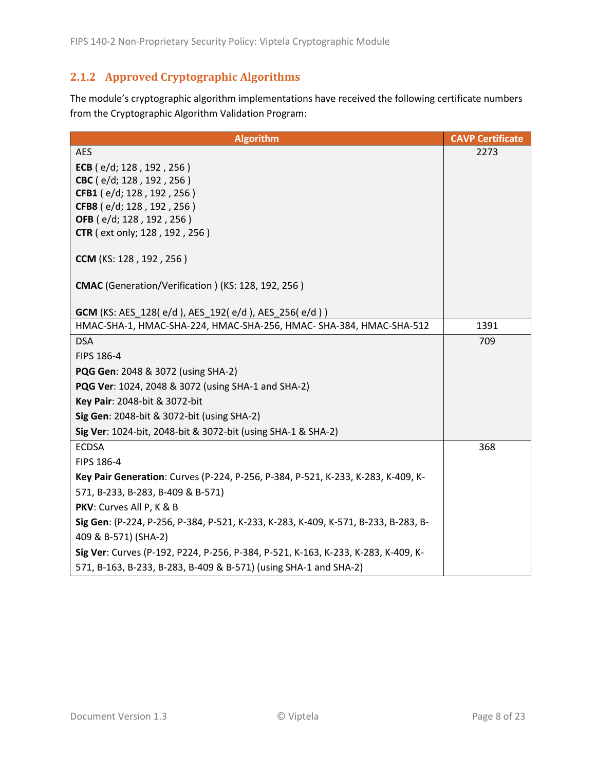# <span id="page-7-0"></span>**2.1.2 Approved Cryptographic Algorithms**

The module's cryptographic algorithm implementations have received the following certificate numbers from the Cryptographic Algorithm Validation Program:

| <b>Algorithm</b>                                                                                                                 | <b>CAVP Certificate</b> |
|----------------------------------------------------------------------------------------------------------------------------------|-------------------------|
| <b>AES</b>                                                                                                                       | 2273                    |
| ECB ( $e/d$ ; 128, 192, 256)                                                                                                     |                         |
| CBC (e/d; 128, 192, 256)                                                                                                         |                         |
| CFB1 (e/d; 128, 192, 256)                                                                                                        |                         |
| CFB8 (e/d; 128, 192, 256)                                                                                                        |                         |
| OFB (e/d; 128, 192, 256)<br><b>CTR</b> ( ext only; 128, 192, 256)                                                                |                         |
|                                                                                                                                  |                         |
| <b>CCM</b> (KS: 128, 192, 256)                                                                                                   |                         |
| CMAC (Generation/Verification) (KS: 128, 192, 256)                                                                               |                         |
|                                                                                                                                  |                         |
| <b>GCM</b> (KS: AES_128(e/d), AES_192(e/d), AES_256(e/d))<br>HMAC-SHA-1, HMAC-SHA-224, HMAC-SHA-256, HMAC- SHA-384, HMAC-SHA-512 | 1391                    |
| <b>DSA</b>                                                                                                                       | 709                     |
| FIPS 186-4                                                                                                                       |                         |
| PQG Gen: 2048 & 3072 (using SHA-2)                                                                                               |                         |
| PQG Ver: 1024, 2048 & 3072 (using SHA-1 and SHA-2)                                                                               |                         |
| Key Pair: 2048-bit & 3072-bit                                                                                                    |                         |
| Sig Gen: 2048-bit & 3072-bit (using SHA-2)                                                                                       |                         |
| Sig Ver: 1024-bit, 2048-bit & 3072-bit (using SHA-1 & SHA-2)                                                                     |                         |
| <b>ECDSA</b>                                                                                                                     | 368                     |
| FIPS 186-4                                                                                                                       |                         |
| Key Pair Generation: Curves (P-224, P-256, P-384, P-521, K-233, K-283, K-409, K-                                                 |                         |
| 571, B-233, B-283, B-409 & B-571)                                                                                                |                         |
| PKV: Curves All P, K & B                                                                                                         |                         |
| Sig Gen: (P-224, P-256, P-384, P-521, K-233, K-283, K-409, K-571, B-233, B-283, B-                                               |                         |
| 409 & B-571) (SHA-2)                                                                                                             |                         |
| Sig Ver: Curves (P-192, P224, P-256, P-384, P-521, K-163, K-233, K-283, K-409, K-                                                |                         |
| 571, B-163, B-233, B-283, B-409 & B-571) (using SHA-1 and SHA-2)                                                                 |                         |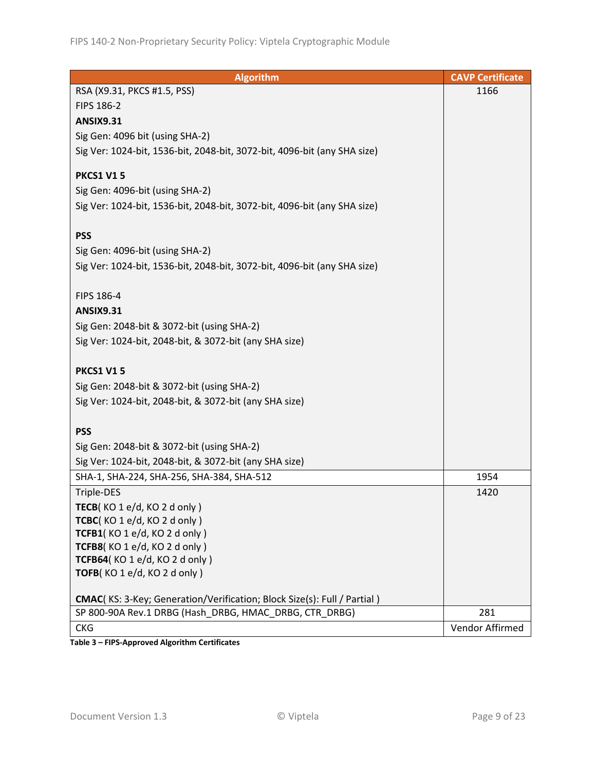| <b>Algorithm</b>                                                                | <b>CAVP Certificate</b> |
|---------------------------------------------------------------------------------|-------------------------|
| RSA (X9.31, PKCS #1.5, PSS)                                                     | 1166                    |
| FIPS 186-2                                                                      |                         |
| <b>ANSIX9.31</b>                                                                |                         |
| Sig Gen: 4096 bit (using SHA-2)                                                 |                         |
| Sig Ver: 1024-bit, 1536-bit, 2048-bit, 3072-bit, 4096-bit (any SHA size)        |                         |
|                                                                                 |                         |
| <b>PKCS1 V15</b>                                                                |                         |
| Sig Gen: 4096-bit (using SHA-2)                                                 |                         |
| Sig Ver: 1024-bit, 1536-bit, 2048-bit, 3072-bit, 4096-bit (any SHA size)        |                         |
|                                                                                 |                         |
| <b>PSS</b>                                                                      |                         |
| Sig Gen: 4096-bit (using SHA-2)                                                 |                         |
| Sig Ver: 1024-bit, 1536-bit, 2048-bit, 3072-bit, 4096-bit (any SHA size)        |                         |
|                                                                                 |                         |
| FIPS 186-4                                                                      |                         |
| <b>ANSIX9.31</b>                                                                |                         |
| Sig Gen: 2048-bit & 3072-bit (using SHA-2)                                      |                         |
| Sig Ver: 1024-bit, 2048-bit, & 3072-bit (any SHA size)                          |                         |
| <b>PKCS1 V15</b>                                                                |                         |
|                                                                                 |                         |
| Sig Gen: 2048-bit & 3072-bit (using SHA-2)                                      |                         |
| Sig Ver: 1024-bit, 2048-bit, & 3072-bit (any SHA size)                          |                         |
| <b>PSS</b>                                                                      |                         |
| Sig Gen: 2048-bit & 3072-bit (using SHA-2)                                      |                         |
| Sig Ver: 1024-bit, 2048-bit, & 3072-bit (any SHA size)                          |                         |
| SHA-1, SHA-224, SHA-256, SHA-384, SHA-512                                       | 1954                    |
| Triple-DES                                                                      | 1420                    |
| TECB(KO 1 e/d, KO 2 d only)                                                     |                         |
| TCBC(KO1e/d, KO2donly)                                                          |                         |
| TCFB1(KO 1 e/d, KO 2 d only)                                                    |                         |
| TCFB8(KO 1 e/d, KO 2 d only)                                                    |                         |
| TCFB64(KO 1 e/d, KO 2 d only)                                                   |                         |
| TOFB(KO1e/d, KO2d only)                                                         |                         |
|                                                                                 |                         |
| <b>CMAC</b> (KS: 3-Key; Generation/Verification; Block Size(s): Full / Partial) |                         |
| SP 800-90A Rev.1 DRBG (Hash DRBG, HMAC DRBG, CTR DRBG)                          | 281                     |
| <b>CKG</b>                                                                      | Vendor Affirmed         |

**Table 3 – FIPS-Approved Algorithm Certificates**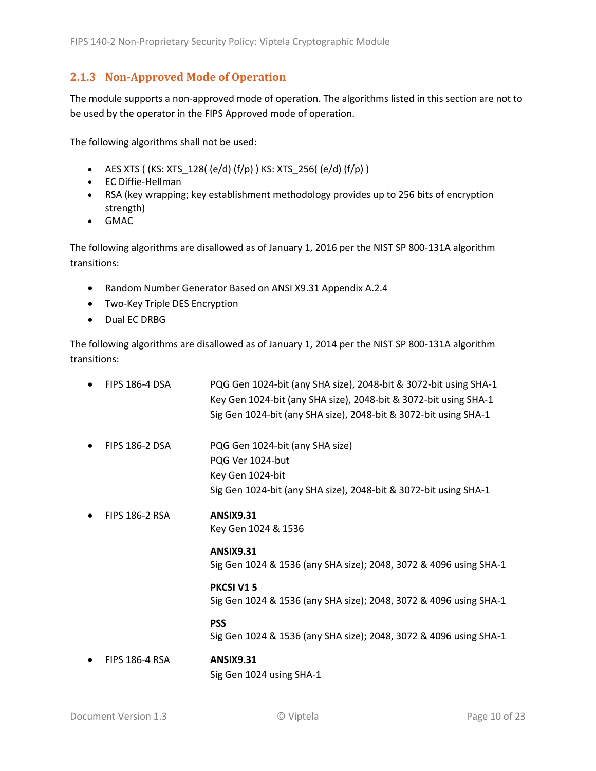### <span id="page-9-0"></span>**2.1.3 Non-Approved Mode of Operation**

The module supports a non-approved mode of operation. The algorithms listed in this section are not to be used by the operator in the FIPS Approved mode of operation.

The following algorithms shall not be used:

- AES XTS (  $(KS: XTS_128$  (  $(e/d)$   $(f/p)$  )  $KS: XTS_256$  (  $(e/d)$   $(f/p)$  )
- EC Diffie-Hellman
- RSA (key wrapping; key establishment methodology provides up to 256 bits of encryption strength)
- GMAC

The following algorithms are disallowed as of January 1, 2016 per the NIST SP 800-131A algorithm transitions:

- Random Number Generator Based on ANSI X9.31 Appendix A.2.4
- Two-Key Triple DES Encryption
- Dual EC DRBG

The following algorithms are disallowed as of January 1, 2014 per the NIST SP 800-131A algorithm transitions:

| <b>FIPS 186-4 DSA</b> | PQG Gen 1024-bit (any SHA size), 2048-bit & 3072-bit using SHA-1<br>Key Gen 1024-bit (any SHA size), 2048-bit & 3072-bit using SHA-1<br>Sig Gen 1024-bit (any SHA size), 2048-bit & 3072-bit using SHA-1 |
|-----------------------|----------------------------------------------------------------------------------------------------------------------------------------------------------------------------------------------------------|
| <b>FIPS 186-2 DSA</b> | PQG Gen 1024-bit (any SHA size)<br>PQG Ver 1024-but<br>Key Gen 1024-bit<br>Sig Gen 1024-bit (any SHA size), 2048-bit & 3072-bit using SHA-1                                                              |
| <b>FIPS 186-2 RSA</b> | <b>ANSIX9.31</b><br>Key Gen 1024 & 1536                                                                                                                                                                  |
|                       | <b>ANSIX9.31</b><br>Sig Gen 1024 & 1536 (any SHA size); 2048, 3072 & 4096 using SHA-1                                                                                                                    |
|                       | PKCSI V15<br>Sig Gen 1024 & 1536 (any SHA size); 2048, 3072 & 4096 using SHA-1                                                                                                                           |
|                       | <b>PSS</b><br>Sig Gen 1024 & 1536 (any SHA size); 2048, 3072 & 4096 using SHA-1                                                                                                                          |
| <b>FIPS 186-4 RSA</b> | <b>ANSIX9.31</b><br>Sig Gen 1024 using SHA-1                                                                                                                                                             |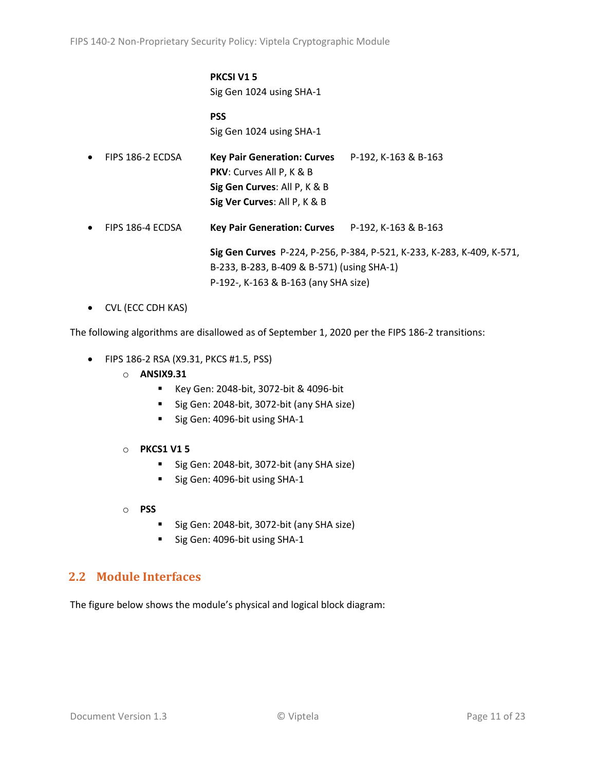#### **PKCSI V1 5** Sig Gen 1024 using SHA-1

**PSS** Sig Gen 1024 using SHA-1

| $\bullet$ | FIPS 186-2 ECDSA | <b>Key Pair Generation: Curves</b><br><b>PKV:</b> Curves All P, K & B<br>Sig Gen Curves: All P, K & B<br>Sig Ver Curves: All P, K & B | P-192, K-163 & B-163                                                   |
|-----------|------------------|---------------------------------------------------------------------------------------------------------------------------------------|------------------------------------------------------------------------|
| $\bullet$ | FIPS 186-4 ECDSA | <b>Key Pair Generation: Curves</b>                                                                                                    | P-192, K-163 & B-163                                                   |
|           |                  | B-233, B-283, B-409 & B-571) (using SHA-1)                                                                                            | Sig Gen Curves P-224, P-256, P-384, P-521, K-233, K-283, K-409, K-571, |

P-192-, K-163 & B-163 (any SHA size)

• CVL (ECC CDH KAS)

The following algorithms are disallowed as of September 1, 2020 per the FIPS 186-2 transitions:

- FIPS 186-2 RSA (X9.31, PKCS #1.5, PSS)
	- o **ANSIX9.31**
		- Key Gen: 2048-bit, 3072-bit & 4096-bit
		- Sig Gen: 2048-bit, 3072-bit (any SHA size)
		- Sig Gen: 4096-bit using SHA-1
	- o **PKCS1 V1 5**
		- Sig Gen: 2048-bit, 3072-bit (any SHA size)
		- Sig Gen: 4096-bit using SHA-1
	- o **PSS**
		- Sig Gen: 2048-bit, 3072-bit (any SHA size)
		- Sig Gen: 4096-bit using SHA-1

## <span id="page-10-0"></span>**2.2 Module Interfaces**

The figure below shows the module's physical and logical block diagram: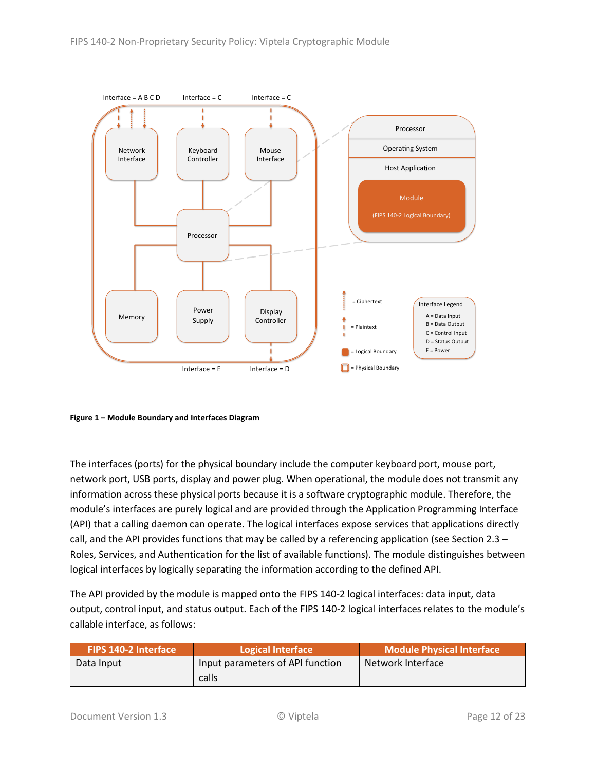

<span id="page-11-0"></span>**Figure 1 – Module Boundary and Interfaces Diagram**

The interfaces (ports) for the physical boundary include the computer keyboard port, mouse port, network port, USB ports, display and power plug. When operational, the module does not transmit any information across these physical ports because it is a software cryptographic module. Therefore, the module's interfaces are purely logical and are provided through the Application Programming Interface (API) that a calling daemon can operate. The logical interfaces expose services that applications directly call, and the API provides functions that may be called by a referencing application (see Sectio[n 2.3](#page-12-0) – [Roles, Services, and Authentication](#page-12-0) for the list of available functions). The module distinguishes between logical interfaces by logically separating the information according to the defined API.

The API provided by the module is mapped onto the FIPS 140-2 logical interfaces: data input, data output, control input, and status output. Each of the FIPS 140-2 logical interfaces relates to the module's callable interface, as follows:

| <b>FIPS 140-2 Interface</b> | Logical Interface                | Module Physical Interface |
|-----------------------------|----------------------------------|---------------------------|
| Data Input                  | Input parameters of API function | Network Interface         |
|                             | calls                            |                           |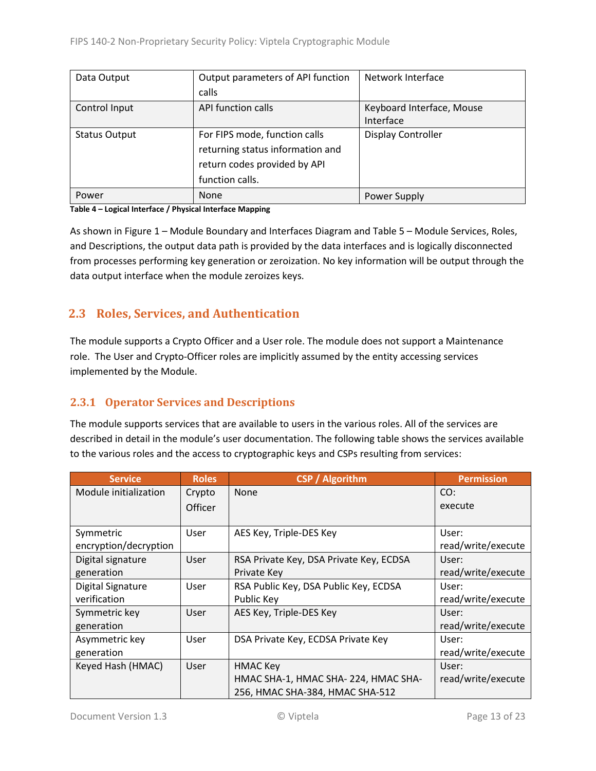| Data Output          | Output parameters of API function | Network Interface         |  |
|----------------------|-----------------------------------|---------------------------|--|
|                      | calls                             |                           |  |
| Control Input        | API function calls                | Keyboard Interface, Mouse |  |
|                      |                                   | Interface                 |  |
| <b>Status Output</b> | For FIPS mode, function calls     | <b>Display Controller</b> |  |
|                      | returning status information and  |                           |  |
|                      | return codes provided by API      |                           |  |
|                      | function calls.                   |                           |  |
| Power                | <b>None</b>                       | Power Supply              |  |

#### **Table 4 – Logical Interface / Physical Interface Mapping**

As shown in Figure 1 – [Module Boundary and Interfaces Diagram](#page-11-0) and Table 5 – Module [Services, Roles,](#page-13-3) [and Descriptions,](#page-13-3) the output data path is provided by the data interfaces and is logically disconnected from processes performing key generation or zeroization. No key information will be output through the data output interface when the module zeroizes keys.

## <span id="page-12-0"></span>**2.3 Roles, Services, and Authentication**

The module supports a Crypto Officer and a User role. The module does not support a Maintenance role. The User and Crypto-Officer roles are implicitly assumed by the entity accessing services implemented by the Module.

#### <span id="page-12-1"></span>**2.3.1 Operator Services and Descriptions**

The module supports services that are available to users in the various roles. All of the services are described in detail in the module's user documentation. The following table shows the services available to the various roles and the access to cryptographic keys and CSPs resulting from services:

| <b>Service</b>        | <b>Roles</b>   | <b>CSP</b> / Algorithm                  | <b>Permission</b>  |
|-----------------------|----------------|-----------------------------------------|--------------------|
| Module initialization | Crypto         | None                                    | CO:                |
|                       | <b>Officer</b> |                                         | execute            |
|                       |                |                                         |                    |
| Symmetric             | User           | AES Key, Triple-DES Key                 | User:              |
| encryption/decryption |                |                                         | read/write/execute |
| Digital signature     | User           | RSA Private Key, DSA Private Key, ECDSA | User:              |
| generation            |                | Private Key                             | read/write/execute |
| Digital Signature     | User           | RSA Public Key, DSA Public Key, ECDSA   | User:              |
| verification          |                | Public Key                              | read/write/execute |
| Symmetric key         | User           | AES Key, Triple-DES Key                 | User:              |
| generation            |                |                                         | read/write/execute |
| Asymmetric key        | User           | DSA Private Key, ECDSA Private Key      | User:              |
| generation            |                |                                         | read/write/execute |
| Keyed Hash (HMAC)     | User           | <b>HMAC Key</b>                         | User:              |
|                       |                | HMAC SHA-1, HMAC SHA-224, HMAC SHA-     | read/write/execute |
|                       |                | 256, HMAC SHA-384, HMAC SHA-512         |                    |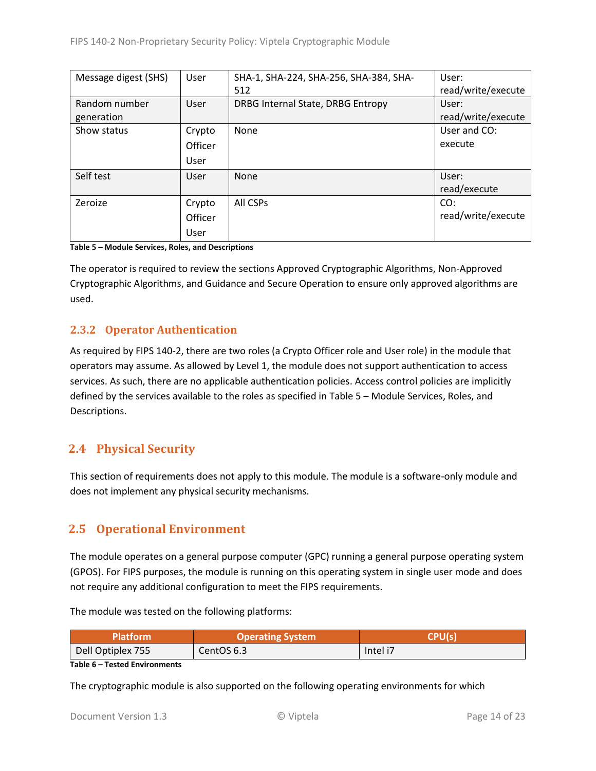| Message digest (SHS) | User    | SHA-1, SHA-224, SHA-256, SHA-384, SHA- | User:              |
|----------------------|---------|----------------------------------------|--------------------|
|                      |         | 512                                    | read/write/execute |
| Random number        | User    | DRBG Internal State, DRBG Entropy      | User:              |
| generation           |         |                                        | read/write/execute |
| Show status          | Crypto  | None                                   | User and CO:       |
|                      | Officer |                                        | execute            |
|                      | User    |                                        |                    |
| Self test            | User    | None                                   | User:              |
|                      |         |                                        | read/execute       |
| Zeroize              | Crypto  | All CSPs                               | CO:                |
|                      | Officer |                                        | read/write/execute |
|                      | User    |                                        |                    |

<span id="page-13-3"></span>**Table 5 – Module Services, Roles, and Descriptions**

The operator is required to review the sections Approved Cryptographic Algorithms, Non-Approved Cryptographic Algorithms, and Guidance and Secure Operation to ensure only approved algorithms are used.

## <span id="page-13-0"></span>**2.3.2 Operator Authentication**

As required by FIPS 140-2, there are two roles (a Crypto Officer role and User role) in the module that operators may assume. As allowed by Level 1, the module does not support authentication to access services. As such, there are no applicable authentication policies. Access control policies are implicitly defined by the services available to the roles as specified in Table 5 – Module [Services, Roles,](#page-13-3) and [Descriptions.](#page-13-3)

# <span id="page-13-1"></span>**2.4 Physical Security**

This section of requirements does not apply to this module. The module is a software-only module and does not implement any physical security mechanisms.

# <span id="page-13-2"></span>**2.5 Operational Environment**

The module operates on a general purpose computer (GPC) running a general purpose operating system (GPOS). For FIPS purposes, the module is running on this operating system in single user mode and does not require any additional configuration to meet the FIPS requirements.

The module was tested on the following platforms:

| Platform'         | <b>Operating System</b> | CDI I/a  |
|-------------------|-------------------------|----------|
| Dell Optiplex 755 | CentOS 6.3              | Intel i7 |

| Table 6 - Tested Environments |
|-------------------------------|
|                               |

The cryptographic module is also supported on the following operating environments for which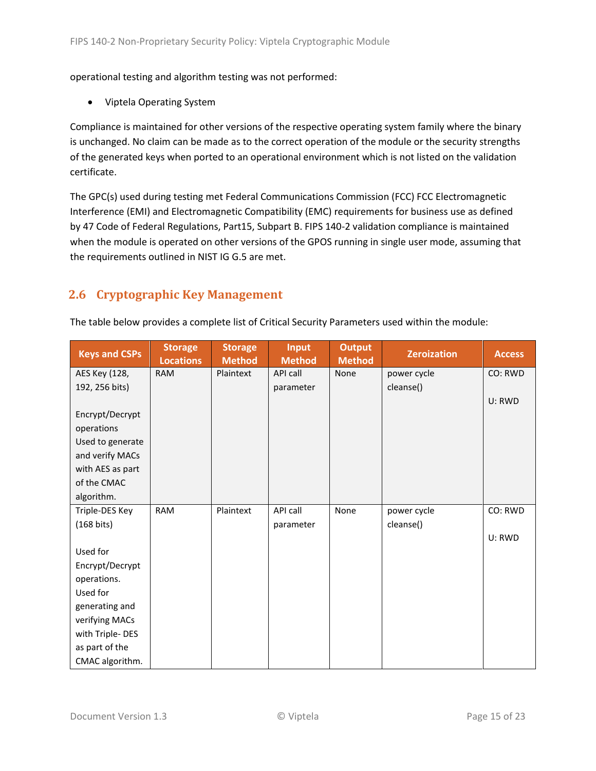operational testing and algorithm testing was not performed:

• Viptela Operating System

Compliance is maintained for other versions of the respective operating system family where the binary is unchanged. No claim can be made as to the correct operation of the module or the security strengths of the generated keys when ported to an operational environment which is not listed on the validation certificate.

The GPC(s) used during testing met Federal Communications Commission (FCC) FCC Electromagnetic Interference (EMI) and Electromagnetic Compatibility (EMC) requirements for business use as defined by 47 Code of Federal Regulations, Part15, Subpart B. FIPS 140-2 validation compliance is maintained when the module is operated on other versions of the GPOS running in single user mode, assuming that the requirements outlined in NIST IG G.5 are met.

# <span id="page-14-0"></span>**2.6 Cryptographic Key Management**

| The table below provides a complete list of Critical Security Parameters used within the module: |  |
|--------------------------------------------------------------------------------------------------|--|
|                                                                                                  |  |

| <b>Keys and CSPs</b> | <b>Storage</b><br><b>Locations</b> | <b>Storage</b><br><b>Method</b> | <b>Input</b><br><b>Method</b> | <b>Output</b><br><b>Method</b> | <b>Zeroization</b> | <b>Access</b> |
|----------------------|------------------------------------|---------------------------------|-------------------------------|--------------------------------|--------------------|---------------|
| AES Key (128,        | <b>RAM</b>                         | Plaintext                       | API call                      | None                           | power cycle        | CO: RWD       |
| 192, 256 bits)       |                                    |                                 | parameter                     |                                | cleanse()          |               |
|                      |                                    |                                 |                               |                                |                    | U: RWD        |
| Encrypt/Decrypt      |                                    |                                 |                               |                                |                    |               |
| operations           |                                    |                                 |                               |                                |                    |               |
| Used to generate     |                                    |                                 |                               |                                |                    |               |
| and verify MACs      |                                    |                                 |                               |                                |                    |               |
| with AES as part     |                                    |                                 |                               |                                |                    |               |
| of the CMAC          |                                    |                                 |                               |                                |                    |               |
| algorithm.           |                                    |                                 |                               |                                |                    |               |
| Triple-DES Key       | <b>RAM</b>                         | Plaintext                       | API call                      | None                           | power cycle        | CO: RWD       |
| $(168 \text{ bits})$ |                                    |                                 | parameter                     |                                | cleanse()          |               |
|                      |                                    |                                 |                               |                                |                    | U: RWD        |
| Used for             |                                    |                                 |                               |                                |                    |               |
| Encrypt/Decrypt      |                                    |                                 |                               |                                |                    |               |
| operations.          |                                    |                                 |                               |                                |                    |               |
| Used for             |                                    |                                 |                               |                                |                    |               |
| generating and       |                                    |                                 |                               |                                |                    |               |
| verifying MACs       |                                    |                                 |                               |                                |                    |               |
| with Triple-DES      |                                    |                                 |                               |                                |                    |               |
| as part of the       |                                    |                                 |                               |                                |                    |               |
| CMAC algorithm.      |                                    |                                 |                               |                                |                    |               |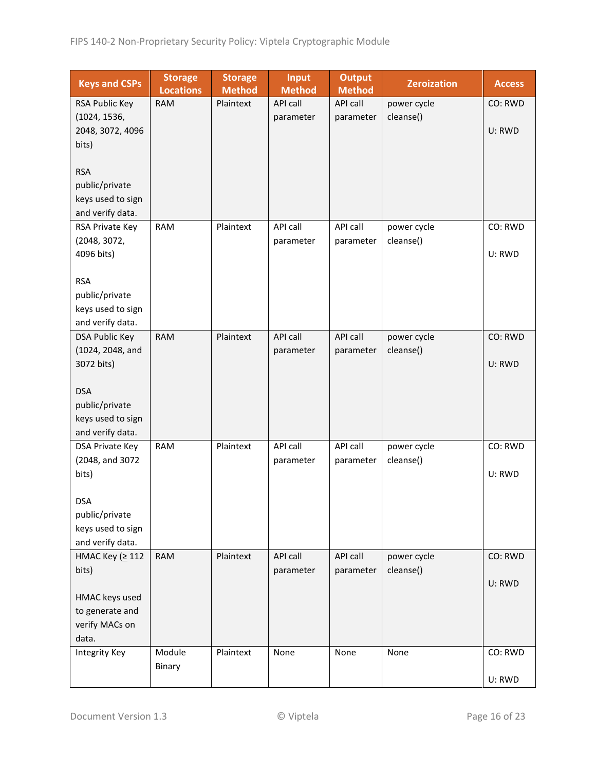| <b>Keys and CSPs</b>                | <b>Storage</b><br><b>Locations</b> | <b>Storage</b><br><b>Method</b> | <b>Input</b><br><b>Method</b> | <b>Output</b><br><b>Method</b> | <b>Zeroization</b> | <b>Access</b> |
|-------------------------------------|------------------------------------|---------------------------------|-------------------------------|--------------------------------|--------------------|---------------|
| RSA Public Key                      | <b>RAM</b>                         | Plaintext                       | <b>API call</b>               | API call                       | power cycle        | CO: RWD       |
| (1024, 1536,                        |                                    |                                 | parameter                     | parameter                      | cleanse()          |               |
| 2048, 3072, 4096                    |                                    |                                 |                               |                                |                    | U: RWD        |
| bits)                               |                                    |                                 |                               |                                |                    |               |
|                                     |                                    |                                 |                               |                                |                    |               |
| <b>RSA</b>                          |                                    |                                 |                               |                                |                    |               |
| public/private                      |                                    |                                 |                               |                                |                    |               |
| keys used to sign                   |                                    |                                 |                               |                                |                    |               |
| and verify data.<br>RSA Private Key | <b>RAM</b>                         | Plaintext                       | API call                      | API call                       | power cycle        | CO: RWD       |
| (2048, 3072,                        |                                    |                                 | parameter                     | parameter                      | cleanse()          |               |
| 4096 bits)                          |                                    |                                 |                               |                                |                    | U: RWD        |
|                                     |                                    |                                 |                               |                                |                    |               |
| <b>RSA</b>                          |                                    |                                 |                               |                                |                    |               |
| public/private                      |                                    |                                 |                               |                                |                    |               |
| keys used to sign                   |                                    |                                 |                               |                                |                    |               |
| and verify data.                    |                                    |                                 |                               |                                |                    |               |
| <b>DSA Public Key</b>               | <b>RAM</b>                         | Plaintext                       | <b>API call</b>               | API call                       | power cycle        | CO: RWD       |
| (1024, 2048, and                    |                                    |                                 | parameter                     | parameter                      | cleanse()          |               |
| 3072 bits)                          |                                    |                                 |                               |                                |                    | U: RWD        |
|                                     |                                    |                                 |                               |                                |                    |               |
| <b>DSA</b>                          |                                    |                                 |                               |                                |                    |               |
| public/private<br>keys used to sign |                                    |                                 |                               |                                |                    |               |
| and verify data.                    |                                    |                                 |                               |                                |                    |               |
| DSA Private Key                     | <b>RAM</b>                         | Plaintext                       | API call                      | API call                       | power cycle        | CO: RWD       |
| (2048, and 3072                     |                                    |                                 | parameter                     | parameter                      | cleanse()          |               |
| bits)                               |                                    |                                 |                               |                                |                    | U: RWD        |
|                                     |                                    |                                 |                               |                                |                    |               |
| <b>DSA</b>                          |                                    |                                 |                               |                                |                    |               |
| public/private                      |                                    |                                 |                               |                                |                    |               |
| keys used to sign                   |                                    |                                 |                               |                                |                    |               |
| and verify data.                    |                                    |                                 |                               |                                |                    |               |
| НМАС Кеу (≥ 112                     | <b>RAM</b>                         | Plaintext                       | API call                      | API call                       | power cycle        | CO: RWD       |
| bits)                               |                                    |                                 | parameter                     | parameter                      | cleanse()          | U: RWD        |
| HMAC keys used                      |                                    |                                 |                               |                                |                    |               |
| to generate and                     |                                    |                                 |                               |                                |                    |               |
| verify MACs on                      |                                    |                                 |                               |                                |                    |               |
| data.                               |                                    |                                 |                               |                                |                    |               |
| <b>Integrity Key</b>                | Module                             | Plaintext                       | None                          | None                           | None               | CO: RWD       |
|                                     | Binary                             |                                 |                               |                                |                    |               |
|                                     |                                    |                                 |                               |                                |                    | U: RWD        |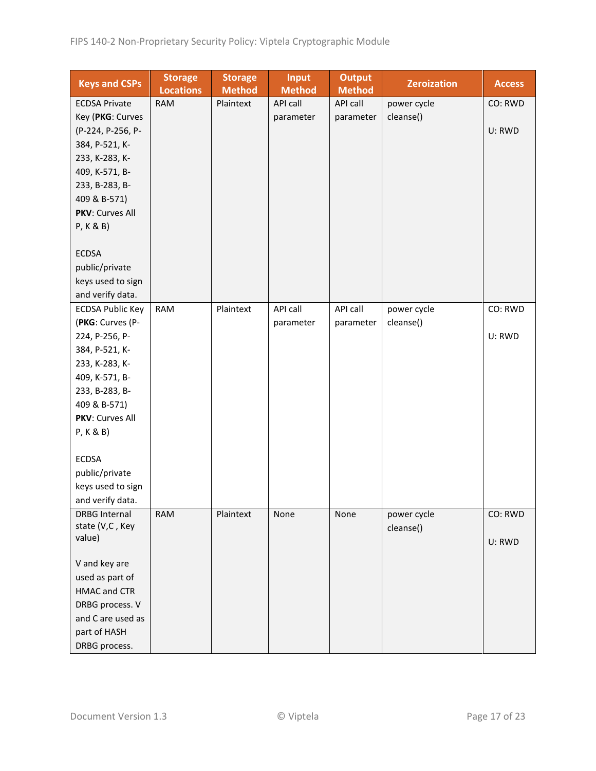| <b>Keys and CSPs</b>    | <b>Storage</b><br><b>Locations</b> | <b>Storage</b><br><b>Method</b> | <b>Input</b><br><b>Method</b> | <b>Output</b><br><b>Method</b> | <b>Zeroization</b> | <b>Access</b> |
|-------------------------|------------------------------------|---------------------------------|-------------------------------|--------------------------------|--------------------|---------------|
| <b>ECDSA Private</b>    | <b>RAM</b>                         | Plaintext                       | API call                      | API call                       | power cycle        | CO: RWD       |
| Key (PKG: Curves        |                                    |                                 | parameter                     | parameter                      | cleanse()          |               |
| (P-224, P-256, P-       |                                    |                                 |                               |                                |                    | U: RWD        |
| 384, P-521, K-          |                                    |                                 |                               |                                |                    |               |
| 233, K-283, K-          |                                    |                                 |                               |                                |                    |               |
| 409, K-571, B-          |                                    |                                 |                               |                                |                    |               |
| 233, B-283, B-          |                                    |                                 |                               |                                |                    |               |
| 409 & B-571)            |                                    |                                 |                               |                                |                    |               |
| PKV: Curves All         |                                    |                                 |                               |                                |                    |               |
| P, K & B)               |                                    |                                 |                               |                                |                    |               |
|                         |                                    |                                 |                               |                                |                    |               |
| <b>ECDSA</b>            |                                    |                                 |                               |                                |                    |               |
| public/private          |                                    |                                 |                               |                                |                    |               |
| keys used to sign       |                                    |                                 |                               |                                |                    |               |
| and verify data.        |                                    |                                 |                               |                                |                    |               |
| <b>ECDSA Public Key</b> | <b>RAM</b>                         | Plaintext                       | API call                      | API call                       | power cycle        | CO: RWD       |
| (PKG: Curves (P-        |                                    |                                 | parameter                     | parameter                      | cleanse()          |               |
| 224, P-256, P-          |                                    |                                 |                               |                                |                    | U: RWD        |
| 384, P-521, K-          |                                    |                                 |                               |                                |                    |               |
| 233, K-283, K-          |                                    |                                 |                               |                                |                    |               |
| 409, K-571, B-          |                                    |                                 |                               |                                |                    |               |
| 233, B-283, B-          |                                    |                                 |                               |                                |                    |               |
| 409 & B-571)            |                                    |                                 |                               |                                |                    |               |
| PKV: Curves All         |                                    |                                 |                               |                                |                    |               |
| P, K & B)               |                                    |                                 |                               |                                |                    |               |
|                         |                                    |                                 |                               |                                |                    |               |
| <b>ECDSA</b>            |                                    |                                 |                               |                                |                    |               |
| public/private          |                                    |                                 |                               |                                |                    |               |
| keys used to sign       |                                    |                                 |                               |                                |                    |               |
| and verify data.        |                                    |                                 |                               |                                |                    |               |
| <b>DRBG Internal</b>    | <b>RAM</b>                         | Plaintext                       | None                          | None                           | power cycle        | CO: RWD       |
| state (V,C, Key         |                                    |                                 |                               |                                | cleanse()          |               |
| value)                  |                                    |                                 |                               |                                |                    | U: RWD        |
| V and key are           |                                    |                                 |                               |                                |                    |               |
| used as part of         |                                    |                                 |                               |                                |                    |               |
| <b>HMAC and CTR</b>     |                                    |                                 |                               |                                |                    |               |
| DRBG process. V         |                                    |                                 |                               |                                |                    |               |
| and C are used as       |                                    |                                 |                               |                                |                    |               |
| part of HASH            |                                    |                                 |                               |                                |                    |               |
| DRBG process.           |                                    |                                 |                               |                                |                    |               |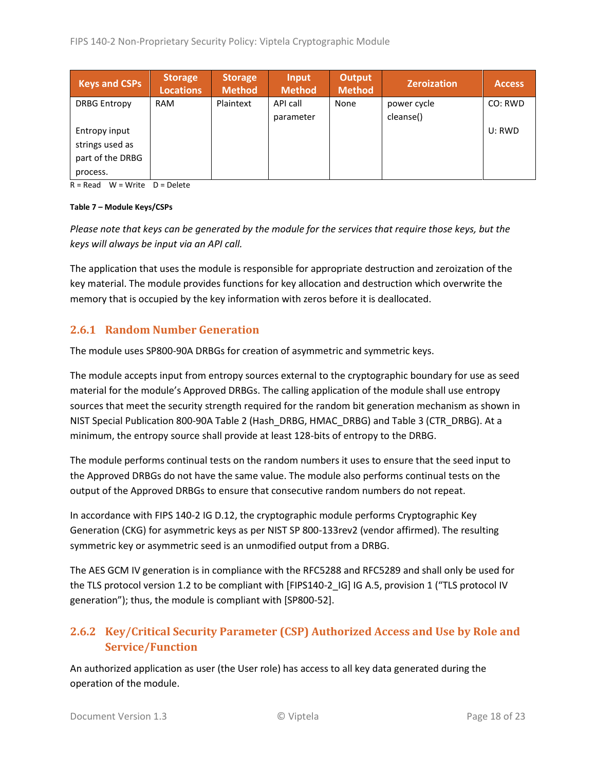| <b>Keys and CSPs</b> | <b>Storage</b><br><b>Locations</b> | <b>Storage</b><br><b>Method</b> | Input<br><b>Method</b> | <b>Output</b><br><b>Method</b> | <b>Zeroization</b> | <b>Access</b> |
|----------------------|------------------------------------|---------------------------------|------------------------|--------------------------------|--------------------|---------------|
| <b>DRBG Entropy</b>  | <b>RAM</b>                         | Plaintext                       | API call               | None                           | power cycle        | CO: RWD       |
|                      |                                    |                                 | parameter              |                                | cleanse()          |               |
| Entropy input        |                                    |                                 |                        |                                |                    | U: RWD        |
| strings used as      |                                    |                                 |                        |                                |                    |               |
| part of the DRBG     |                                    |                                 |                        |                                |                    |               |
| process.             |                                    |                                 |                        |                                |                    |               |

 $R = Read$  W = Write D = Delete

#### **Table 7 – Module Keys/CSPs**

*Please note that keys can be generated by the module for the services that require those keys, but the keys will always be input via an API call.*

The application that uses the module is responsible for appropriate destruction and zeroization of the key material. The module provides functions for key allocation and destruction which overwrite the memory that is occupied by the key information with zeros before it is deallocated.

#### <span id="page-17-0"></span>**2.6.1 Random Number Generation**

The module uses SP800-90A DRBGs for creation of asymmetric and symmetric keys.

The module accepts input from entropy sources external to the cryptographic boundary for use as seed material for the module's Approved DRBGs. The calling application of the module shall use entropy sources that meet the security strength required for the random bit generation mechanism as shown in NIST Special Publication 800-90A Table 2 (Hash\_DRBG, HMAC\_DRBG) and Table 3 (CTR\_DRBG). At a minimum, the entropy source shall provide at least 128-bits of entropy to the DRBG.

The module performs continual tests on the random numbers it uses to ensure that the seed input to the Approved DRBGs do not have the same value. The module also performs continual tests on the output of the Approved DRBGs to ensure that consecutive random numbers do not repeat.

In accordance with FIPS 140-2 IG D.12, the cryptographic module performs Cryptographic Key Generation (CKG) for asymmetric keys as per NIST SP 800-133rev2 (vendor affirmed). The resulting symmetric key or asymmetric seed is an unmodified output from a DRBG.

The AES GCM IV generation is in compliance with the RFC5288 and RFC5289 and shall only be used for the TLS protocol version 1.2 to be compliant with [FIPS140-2\_IG] IG A.5, provision 1 ("TLS protocol IV generation"); thus, the module is compliant with [SP800-52].

## <span id="page-17-1"></span>**2.6.2 Key/Critical Security Parameter (CSP) Authorized Access and Use by Role and Service/Function**

An authorized application as user (the User role) has access to all key data generated during the operation of the module.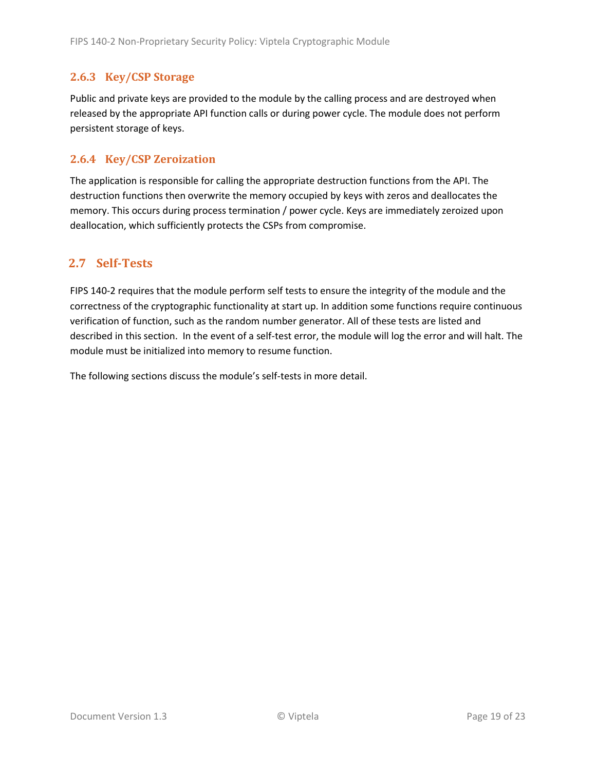#### <span id="page-18-0"></span>**2.6.3 Key/CSP Storage**

Public and private keys are provided to the module by the calling process and are destroyed when released by the appropriate API function calls or during power cycle. The module does not perform persistent storage of keys.

#### <span id="page-18-1"></span>**2.6.4 Key/CSP Zeroization**

The application is responsible for calling the appropriate destruction functions from the API. The destruction functions then overwrite the memory occupied by keys with zeros and deallocates the memory. This occurs during process termination / power cycle. Keys are immediately zeroized upon deallocation, which sufficiently protects the CSPs from compromise.

## <span id="page-18-2"></span>**2.7 Self-Tests**

FIPS 140-2 requires that the module perform self tests to ensure the integrity of the module and the correctness of the cryptographic functionality at start up. In addition some functions require continuous verification of function, such as the random number generator. All of these tests are listed and described in this section. In the event of a self-test error, the module will log the error and will halt. The module must be initialized into memory to resume function.

The following sections discuss the module's self-tests in more detail.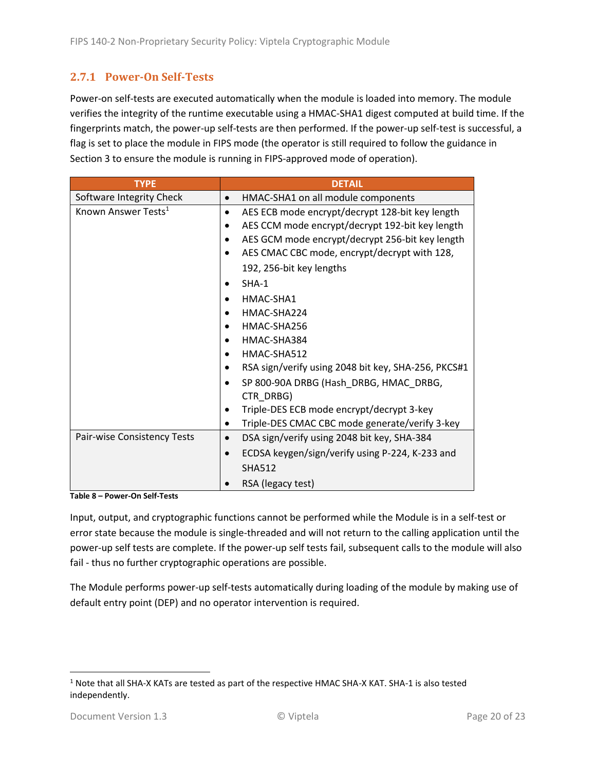## <span id="page-19-0"></span>**2.7.1 Power-On Self-Tests**

Power-on self-tests are executed automatically when the module is loaded into memory. The module verifies the integrity of the runtime executable using a HMAC-SHA1 digest computed at build time. If the fingerprints match, the power-up self-tests are then performed. If the power-up self-test is successful, a flag is set to place the module in FIPS mode (the operator is still required to follow the guidance in Section 3 to ensure the module is running in FIPS-approved mode of operation).

| <b>TYPE</b>                     | <b>DETAIL</b>                                        |
|---------------------------------|------------------------------------------------------|
| Software Integrity Check        | HMAC-SHA1 on all module components                   |
| Known Answer Tests <sup>1</sup> | AES ECB mode encrypt/decrypt 128-bit key length<br>٠ |
|                                 | AES CCM mode encrypt/decrypt 192-bit key length      |
|                                 | AES GCM mode encrypt/decrypt 256-bit key length      |
|                                 | AES CMAC CBC mode, encrypt/decrypt with 128,         |
|                                 | 192, 256-bit key lengths                             |
|                                 | $SHA-1$                                              |
|                                 | HMAC-SHA1                                            |
|                                 | HMAC-SHA224                                          |
|                                 | HMAC-SHA256                                          |
|                                 | HMAC-SHA384                                          |
|                                 | HMAC-SHA512                                          |
|                                 | RSA sign/verify using 2048 bit key, SHA-256, PKCS#1  |
|                                 | SP 800-90A DRBG (Hash_DRBG, HMAC_DRBG,               |
|                                 | CTR_DRBG)                                            |
|                                 | Triple-DES ECB mode encrypt/decrypt 3-key            |
|                                 | Triple-DES CMAC CBC mode generate/verify 3-key       |
| Pair-wise Consistency Tests     | DSA sign/verify using 2048 bit key, SHA-384          |
|                                 | ECDSA keygen/sign/verify using P-224, K-233 and      |
|                                 | <b>SHA512</b>                                        |
|                                 | RSA (legacy test)                                    |

**Table 8 – Power-On Self-Tests**

Input, output, and cryptographic functions cannot be performed while the Module is in a self-test or error state because the module is single-threaded and will not return to the calling application until the power-up self tests are complete. If the power-up self tests fail, subsequent calls to the module will also fail - thus no further cryptographic operations are possible.

The Module performs power-up self-tests automatically during loading of the module by making use of default entry point (DEP) and no operator intervention is required.

<sup>1</sup> Note that all SHA-X KATs are tested as part of the respective HMAC SHA-X KAT. SHA-1 is also tested independently.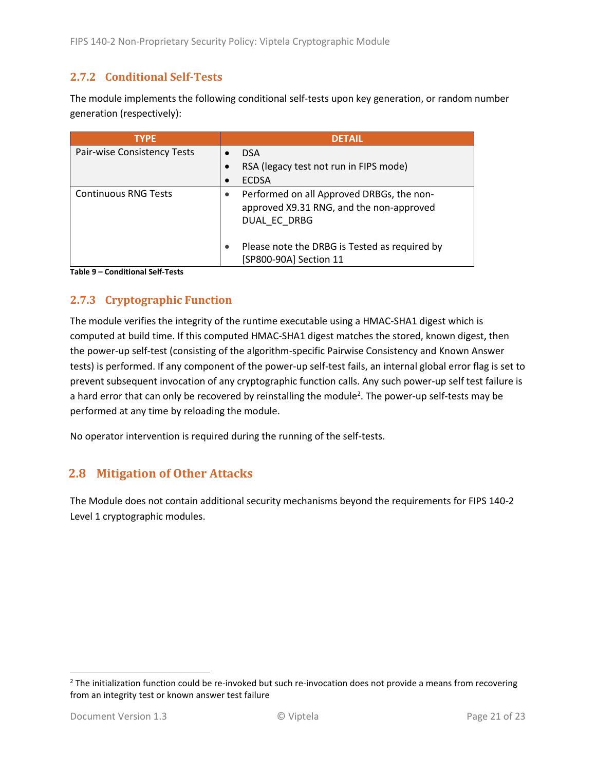### <span id="page-20-0"></span>**2.7.2 Conditional Self-Tests**

The module implements the following conditional self-tests upon key generation, or random number generation (respectively):

| <b>TYPE</b>                 | <b>DETAIL</b>                                                                                         |
|-----------------------------|-------------------------------------------------------------------------------------------------------|
| Pair-wise Consistency Tests | <b>DSA</b>                                                                                            |
|                             | RSA (legacy test not run in FIPS mode)                                                                |
|                             | <b>ECDSA</b>                                                                                          |
| <b>Continuous RNG Tests</b> | Performed on all Approved DRBGs, the non-<br>approved X9.31 RNG, and the non-approved<br>DUAL EC DRBG |
|                             | Please note the DRBG is Tested as required by<br>[SP800-90A] Section 11                               |

**Table 9 – Conditional Self-Tests**

## <span id="page-20-1"></span>**2.7.3 Cryptographic Function**

The module verifies the integrity of the runtime executable using a HMAC-SHA1 digest which is computed at build time. If this computed HMAC-SHA1 digest matches the stored, known digest, then the power-up self-test (consisting of the algorithm-specific Pairwise Consistency and Known Answer tests) is performed. If any component of the power-up self-test fails, an internal global error flag is set to prevent subsequent invocation of any cryptographic function calls. Any such power-up self test failure is a hard error that can only be recovered by reinstalling the module<sup>2</sup>. The power-up self-tests may be performed at any time by reloading the module.

No operator intervention is required during the running of the self-tests.

## <span id="page-20-2"></span>**2.8 Mitigation of Other Attacks**

The Module does not contain additional security mechanisms beyond the requirements for FIPS 140-2 Level 1 cryptographic modules.

 $2$  The initialization function could be re-invoked but such re-invocation does not provide a means from recovering from an integrity test or known answer test failure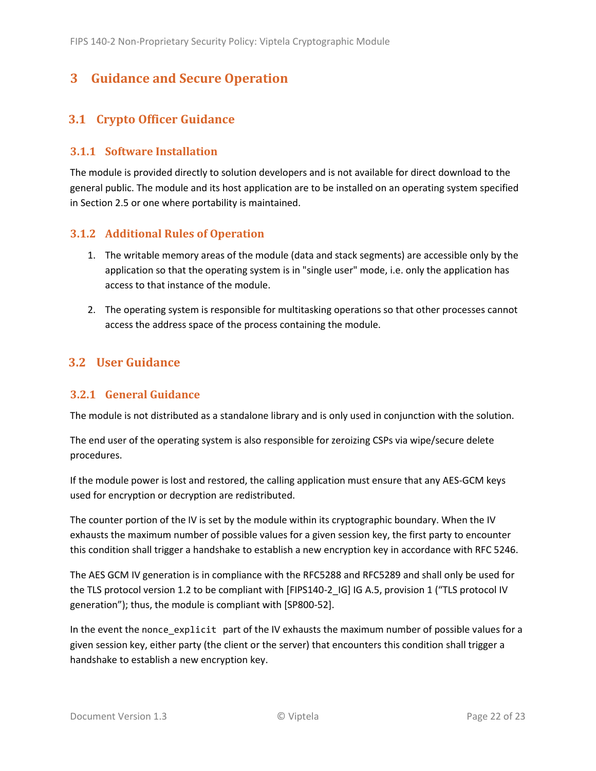# <span id="page-21-0"></span>**3 Guidance and Secure Operation**

# <span id="page-21-1"></span>**3.1 Crypto Officer Guidance**

#### <span id="page-21-2"></span>**3.1.1 Software Installation**

The module is provided directly to solution developers and is not available for direct download to the general public. The module and its host application are to be installed on an operating system specified in Section [2.5](#page-13-2) or one where portability is maintained.

#### <span id="page-21-3"></span>**3.1.2 Additional Rules of Operation**

- 1. The writable memory areas of the module (data and stack segments) are accessible only by the application so that the operating system is in "single user" mode, i.e. only the application has access to that instance of the module.
- 2. The operating system is responsible for multitasking operations so that other processes cannot access the address space of the process containing the module.

## <span id="page-21-4"></span>**3.2 User Guidance**

#### <span id="page-21-5"></span>**3.2.1 General Guidance**

The module is not distributed as a standalone library and is only used in conjunction with the solution.

The end user of the operating system is also responsible for zeroizing CSPs via wipe/secure delete procedures.

If the module power is lost and restored, the calling application must ensure that any AES-GCM keys used for encryption or decryption are redistributed.

The counter portion of the IV is set by the module within its cryptographic boundary. When the IV exhausts the maximum number of possible values for a given session key, the first party to encounter this condition shall trigger a handshake to establish a new encryption key in accordance with RFC 5246.

The AES GCM IV generation is in compliance with the RFC5288 and RFC5289 and shall only be used for the TLS protocol version 1.2 to be compliant with [FIPS140-2 IG] IG A.5, provision 1 ("TLS protocol IV generation"); thus, the module is compliant with [SP800-52].

In the event the nonce\_explicit part of the IV exhausts the maximum number of possible values for a given session key, either party (the client or the server) that encounters this condition shall trigger a handshake to establish a new encryption key.